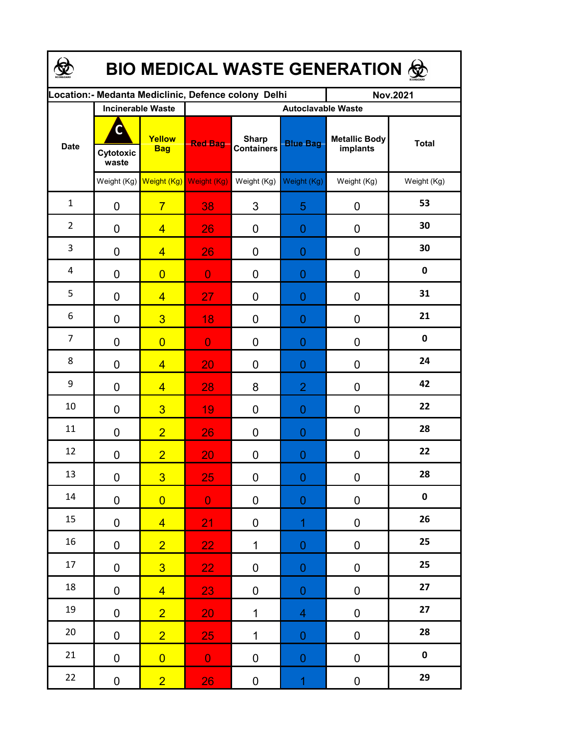| BIO MEDICAL WASTE GENERATION & |                          |                                     |                                                     |                                   |                  |                                  |              |  |  |  |
|--------------------------------|--------------------------|-------------------------------------|-----------------------------------------------------|-----------------------------------|------------------|----------------------------------|--------------|--|--|--|
|                                |                          |                                     | Location:- Medanta Mediclinic, Defence colony Delhi |                                   |                  | <b>Nov.2021</b>                  |              |  |  |  |
|                                | <b>Incinerable Waste</b> |                                     | <b>Autoclavable Waste</b>                           |                                   |                  |                                  |              |  |  |  |
| <b>Date</b>                    | Cytotoxic<br>waste       | Yellow<br><b>Bag</b>                | <b>Red Bag</b>                                      | <b>Sharp</b><br><b>Containers</b> | <b>Blue Bag</b>  | <b>Metallic Body</b><br>implants | <b>Total</b> |  |  |  |
|                                |                          | Weight (Kg) Weight (Kg) Weight (Kg) |                                                     | Weight (Kg)                       | Weight (Kg)      | Weight (Kg)                      | Weight (Kg)  |  |  |  |
| $\mathbf{1}$                   | 0                        | $\overline{7}$                      | 38                                                  | 3                                 | 5                | 0                                | 53           |  |  |  |
| $\overline{2}$                 | 0                        | $\overline{4}$                      | 26                                                  | 0                                 | 0                | 0                                | 30           |  |  |  |
| 3                              | 0                        | $\overline{4}$                      | 26                                                  | 0                                 | 0                | 0                                | 30           |  |  |  |
| 4                              | 0                        | $\overline{0}$                      | $\overline{0}$                                      | 0                                 | 0                | 0                                | 0            |  |  |  |
| 5                              | 0                        | $\overline{4}$                      | 27                                                  | 0                                 | 0                | 0                                | 31           |  |  |  |
| 6                              | 0                        | $\overline{3}$                      | 18                                                  | 0                                 | 0                | 0                                | 21           |  |  |  |
| $\overline{7}$                 | $\mathbf 0$              | $\overline{0}$                      | $\overline{0}$                                      | 0                                 | 0                | 0                                | $\mathbf 0$  |  |  |  |
| 8                              | 0                        | $\overline{4}$                      | 20                                                  | 0                                 | 0                | 0                                | 24           |  |  |  |
| 9                              | 0                        | $\overline{4}$                      | 28                                                  | 8                                 | $\overline{2}$   | 0                                | 42           |  |  |  |
| 10                             | 0                        | $\overline{3}$                      | 19                                                  | 0                                 | 0                | 0                                | 22           |  |  |  |
| 11                             | 0                        | $\overline{2}$                      | 26                                                  | 0                                 | 0                | 0                                | 28           |  |  |  |
| 12                             | 0                        | $\overline{2}$                      | 20                                                  | 0                                 | 0                | 0                                | 22           |  |  |  |
| 13                             | $\pmb{0}$                | $\overline{3}$                      | 25                                                  | 0                                 | 0                | 0                                | 28           |  |  |  |
| $14\,$                         | $\mathbf 0$              | $\overline{0}$                      | $\mathbf 0$                                         | 0                                 | $\boldsymbol{0}$ | 0                                | $\pmb{0}$    |  |  |  |
| 15                             | 0                        | $\overline{4}$                      | 21                                                  | 0                                 | $\overline{1}$   | 0                                | 26           |  |  |  |
| 16                             | $\pmb{0}$                | $\overline{2}$                      | 22                                                  | $\mathbf 1$                       | 0                | $\pmb{0}$                        | 25           |  |  |  |
| 17                             | $\pmb{0}$                | 3 <sup>1</sup>                      | 22 <sub>1</sub>                                     | 0                                 | $\overline{0}$   | $\pmb{0}$                        | 25           |  |  |  |
| 18                             | $\pmb{0}$                | $\overline{4}$                      | 23                                                  | 0                                 | $\overline{0}$   | 0                                | 27           |  |  |  |
| 19                             | $\pmb{0}$                | $\overline{2}$                      | 20                                                  | $\mathbf{1}$                      | 4                | 0                                | 27           |  |  |  |
| $20\,$                         | $\pmb{0}$                | $\overline{2}$                      | 25                                                  | $\mathbf{1}$                      | $\boldsymbol{0}$ | 0                                | 28           |  |  |  |
| 21                             | $\pmb{0}$                | $\overline{0}$                      | $\mathbf{O}$                                        | 0                                 | $\boldsymbol{0}$ | 0                                | $\pmb{0}$    |  |  |  |
| 22                             | 0                        | $\overline{2}$                      | 26                                                  | $\pmb{0}$                         | $\overline{1}$   | $\pmb{0}$                        | 29           |  |  |  |